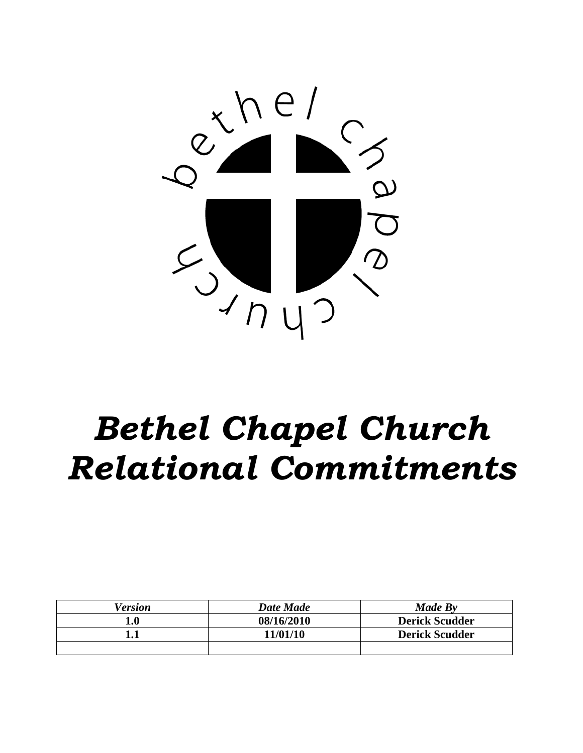

# *Bethel Chapel Church Relational Commitments*

| Version | <b>Date Made</b> | Made By               |
|---------|------------------|-----------------------|
| 1.0     | 08/16/2010       | <b>Derick Scudder</b> |
|         | 11/01/10         | <b>Derick Scudder</b> |
|         |                  |                       |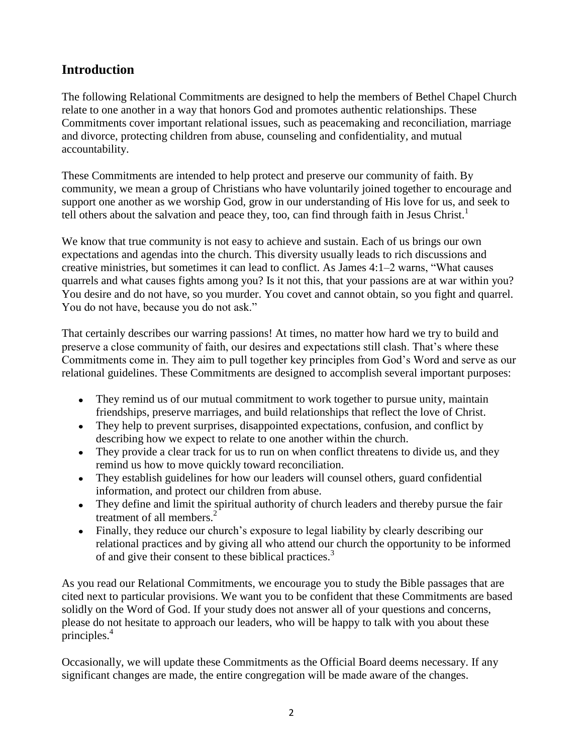# **Introduction**

The following Relational Commitments are designed to help the members of Bethel Chapel Church relate to one another in a way that honors God and promotes authentic relationships. These Commitments cover important relational issues, such as peacemaking and reconciliation, marriage and divorce, protecting children from abuse, counseling and confidentiality, and mutual accountability.

These Commitments are intended to help protect and preserve our community of faith. By community, we mean a group of Christians who have voluntarily joined together to encourage and support one another as we worship God, grow in our understanding of His love for us, and seek to tell others about the salvation and peace they, too, can find through faith in Jesus Christ.<sup>1</sup>

We know that true community is not easy to achieve and sustain. Each of us brings our own expectations and agendas into the church. This diversity usually leads to rich discussions and creative ministries, but sometimes it can lead to conflict. As James 4:1–2 warns, "What causes quarrels and what causes fights among you? Is it not this, that your passions are at war within you? You desire and do not have, so you murder. You covet and cannot obtain, so you fight and quarrel. You do not have, because you do not ask."

That certainly describes our warring passions! At times, no matter how hard we try to build and preserve a close community of faith, our desires and expectations still clash. That's where these Commitments come in. They aim to pull together key principles from God's Word and serve as our relational guidelines. These Commitments are designed to accomplish several important purposes:

- They remind us of our mutual commitment to work together to pursue unity, maintain friendships, preserve marriages, and build relationships that reflect the love of Christ.
- They help to prevent surprises, disappointed expectations, confusion, and conflict by describing how we expect to relate to one another within the church.
- They provide a clear track for us to run on when conflict threatens to divide us, and they remind us how to move quickly toward reconciliation.
- They establish guidelines for how our leaders will counsel others, guard confidential information, and protect our children from abuse.
- They define and limit the spiritual authority of church leaders and thereby pursue the fair treatment of all members.<sup>2</sup>
- Finally, they reduce our church's exposure to legal liability by clearly describing our relational practices and by giving all who attend our church the opportunity to be informed of and give their consent to these biblical practices.<sup>3</sup>

As you read our Relational Commitments, we encourage you to study the Bible passages that are cited next to particular provisions. We want you to be confident that these Commitments are based solidly on the Word of God. If your study does not answer all of your questions and concerns, please do not hesitate to approach our leaders, who will be happy to talk with you about these principles.<sup>4</sup>

Occasionally, we will update these Commitments as the Official Board deems necessary. If any significant changes are made, the entire congregation will be made aware of the changes.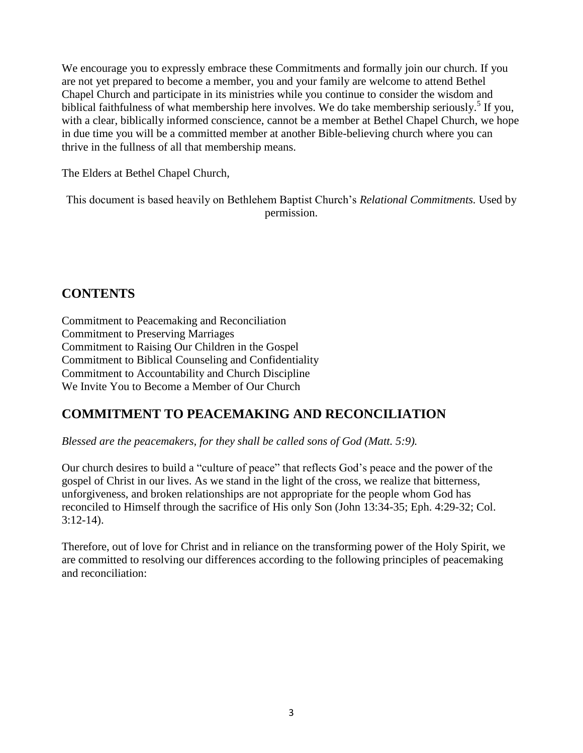We encourage you to expressly embrace these Commitments and formally join our church. If you are not yet prepared to become a member, you and your family are welcome to attend Bethel Chapel Church and participate in its ministries while you continue to consider the wisdom and biblical faithfulness of what membership here involves. We do take membership seriously.<sup>5</sup> If you, with a clear, biblically informed conscience, cannot be a member at Bethel Chapel Church, we hope in due time you will be a committed member at another Bible-believing church where you can thrive in the fullness of all that membership means.

The Elders at Bethel Chapel Church,

This document is based heavily on Bethlehem Baptist Church's *Relational Commitments.* Used by permission.

# **CONTENTS**

Commitment to Peacemaking and Reconciliation Commitment to Preserving Marriages Commitment to Raising Our Children in the Gospel Commitment to Biblical Counseling and Confidentiality Commitment to Accountability and Church Discipline We Invite You to Become a Member of Our Church

### **COMMITMENT TO PEACEMAKING AND RECONCILIATION**

*Blessed are the peacemakers, for they shall be called sons of God (Matt. 5:9).*

Our church desires to build a "culture of peace" that reflects God's peace and the power of the gospel of Christ in our lives. As we stand in the light of the cross, we realize that bitterness, unforgiveness, and broken relationships are not appropriate for the people whom God has reconciled to Himself through the sacrifice of His only Son (John 13:34-35; Eph. 4:29-32; Col. 3:12-14).

Therefore, out of love for Christ and in reliance on the transforming power of the Holy Spirit, we are committed to resolving our differences according to the following principles of peacemaking and reconciliation: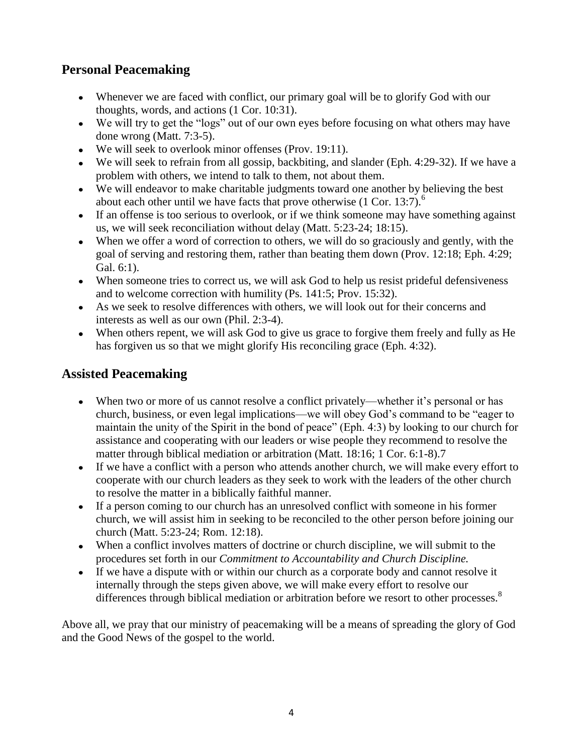# **Personal Peacemaking**

- Whenever we are faced with conflict, our primary goal will be to glorify God with our thoughts, words, and actions (1 Cor. 10:31).
- We will try to get the "logs" out of our own eyes before focusing on what others may have done wrong (Matt. 7:3-5).
- We will seek to overlook minor offenses (Prov. 19:11).
- We will seek to refrain from all gossip, backbiting, and slander (Eph. 4:29-32). If we have a problem with others, we intend to talk to them, not about them.
- We will endeavor to make charitable judgments toward one another by believing the best about each other until we have facts that prove otherwise  $(1 \text{ Cor. } 13:7)$ .<sup>6</sup>
- If an offense is too serious to overlook, or if we think someone may have something against us, we will seek reconciliation without delay (Matt. 5:23-24; 18:15).
- When we offer a word of correction to others, we will do so graciously and gently, with the goal of serving and restoring them, rather than beating them down (Prov. 12:18; Eph. 4:29; Gal. 6:1).
- When someone tries to correct us, we will ask God to help us resist prideful defensiveness and to welcome correction with humility (Ps. 141:5; Prov. 15:32).
- As we seek to resolve differences with others, we will look out for their concerns and interests as well as our own (Phil. 2:3-4).
- When others repent, we will ask God to give us grace to forgive them freely and fully as He has forgiven us so that we might glorify His reconciling grace (Eph. 4:32).

#### **Assisted Peacemaking**

- When two or more of us cannot resolve a conflict privately—whether it's personal or has church, business, or even legal implications—we will obey God's command to be "eager to maintain the unity of the Spirit in the bond of peace" (Eph. 4:3) by looking to our church for assistance and cooperating with our leaders or wise people they recommend to resolve the matter through biblical mediation or arbitration (Matt. 18:16; 1 Cor. 6:1-8).7
- If we have a conflict with a person who attends another church, we will make every effort to cooperate with our church leaders as they seek to work with the leaders of the other church to resolve the matter in a biblically faithful manner.
- If a person coming to our church has an unresolved conflict with someone in his former church, we will assist him in seeking to be reconciled to the other person before joining our church (Matt. 5:23-24; Rom. 12:18).
- When a conflict involves matters of doctrine or church discipline, we will submit to the procedures set forth in our *Commitment to Accountability and Church Discipline.*
- If we have a dispute with or within our church as a corporate body and cannot resolve it internally through the steps given above, we will make every effort to resolve our differences through biblical mediation or arbitration before we resort to other processes.<sup>8</sup>

Above all, we pray that our ministry of peacemaking will be a means of spreading the glory of God and the Good News of the gospel to the world.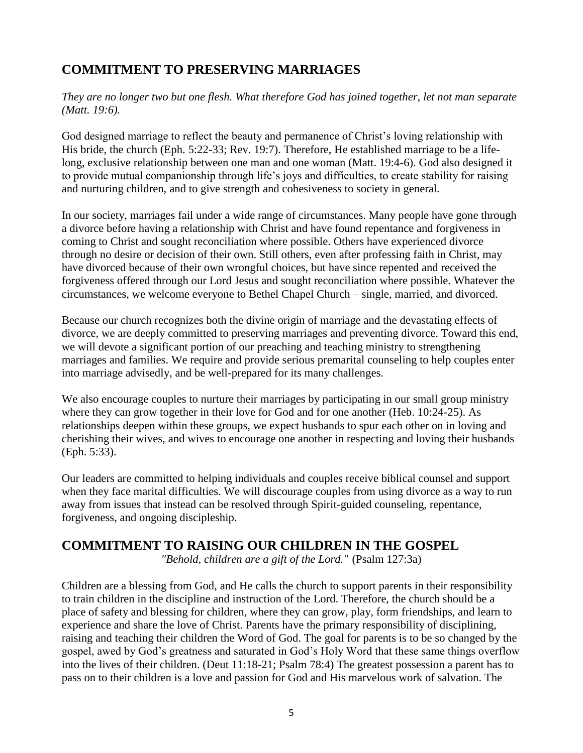# **COMMITMENT TO PRESERVING MARRIAGES**

*They are no longer two but one flesh. What therefore God has joined together, let not man separate (Matt. 19:6).*

God designed marriage to reflect the beauty and permanence of Christ's loving relationship with His bride, the church (Eph. 5:22-33; Rev. 19:7). Therefore, He established marriage to be a lifelong, exclusive relationship between one man and one woman (Matt. 19:4-6). God also designed it to provide mutual companionship through life's joys and difficulties, to create stability for raising and nurturing children, and to give strength and cohesiveness to society in general.

In our society, marriages fail under a wide range of circumstances. Many people have gone through a divorce before having a relationship with Christ and have found repentance and forgiveness in coming to Christ and sought reconciliation where possible. Others have experienced divorce through no desire or decision of their own. Still others, even after professing faith in Christ, may have divorced because of their own wrongful choices, but have since repented and received the forgiveness offered through our Lord Jesus and sought reconciliation where possible. Whatever the circumstances, we welcome everyone to Bethel Chapel Church – single, married, and divorced.

Because our church recognizes both the divine origin of marriage and the devastating effects of divorce, we are deeply committed to preserving marriages and preventing divorce. Toward this end, we will devote a significant portion of our preaching and teaching ministry to strengthening marriages and families. We require and provide serious premarital counseling to help couples enter into marriage advisedly, and be well-prepared for its many challenges.

We also encourage couples to nurture their marriages by participating in our small group ministry where they can grow together in their love for God and for one another (Heb. 10:24-25). As relationships deepen within these groups, we expect husbands to spur each other on in loving and cherishing their wives, and wives to encourage one another in respecting and loving their husbands (Eph. 5:33).

Our leaders are committed to helping individuals and couples receive biblical counsel and support when they face marital difficulties. We will discourage couples from using divorce as a way to run away from issues that instead can be resolved through Spirit-guided counseling, repentance, forgiveness, and ongoing discipleship.

#### **COMMITMENT TO RAISING OUR CHILDREN IN THE GOSPEL**

*"Behold, children are a gift of the Lord."* (Psalm 127:3a)

Children are a blessing from God, and He calls the church to support parents in their responsibility to train children in the discipline and instruction of the Lord. Therefore, the church should be a place of safety and blessing for children, where they can grow, play, form friendships, and learn to experience and share the love of Christ. Parents have the primary responsibility of disciplining, raising and teaching their children the Word of God. The goal for parents is to be so changed by the gospel, awed by God's greatness and saturated in God's Holy Word that these same things overflow into the lives of their children. (Deut 11:18-21; Psalm 78:4) The greatest possession a parent has to pass on to their children is a love and passion for God and His marvelous work of salvation. The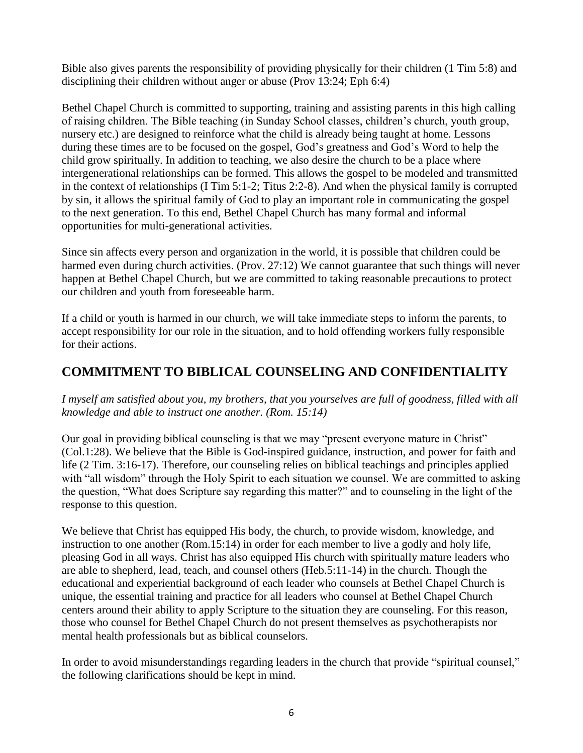Bible also gives parents the responsibility of providing physically for their children (1 Tim 5:8) and disciplining their children without anger or abuse (Prov 13:24; Eph 6:4)

Bethel Chapel Church is committed to supporting, training and assisting parents in this high calling of raising children. The Bible teaching (in Sunday School classes, children's church, youth group, nursery etc.) are designed to reinforce what the child is already being taught at home. Lessons during these times are to be focused on the gospel, God's greatness and God's Word to help the child grow spiritually. In addition to teaching, we also desire the church to be a place where intergenerational relationships can be formed. This allows the gospel to be modeled and transmitted in the context of relationships (I Tim 5:1-2; Titus 2:2-8). And when the physical family is corrupted by sin, it allows the spiritual family of God to play an important role in communicating the gospel to the next generation. To this end, Bethel Chapel Church has many formal and informal opportunities for multi-generational activities.

Since sin affects every person and organization in the world, it is possible that children could be harmed even during church activities. (Prov. 27:12) We cannot guarantee that such things will never happen at Bethel Chapel Church, but we are committed to taking reasonable precautions to protect our children and youth from foreseeable harm.

If a child or youth is harmed in our church, we will take immediate steps to inform the parents, to accept responsibility for our role in the situation, and to hold offending workers fully responsible for their actions.

#### **COMMITMENT TO BIBLICAL COUNSELING AND CONFIDENTIALITY**

*I myself am satisfied about you, my brothers, that you yourselves are full of goodness, filled with all knowledge and able to instruct one another. (Rom. 15:14)*

Our goal in providing biblical counseling is that we may "present everyone mature in Christ" (Col.1:28). We believe that the Bible is God-inspired guidance, instruction, and power for faith and life (2 Tim. 3:16-17). Therefore, our counseling relies on biblical teachings and principles applied with "all wisdom" through the Holy Spirit to each situation we counsel. We are committed to asking the question, "What does Scripture say regarding this matter?" and to counseling in the light of the response to this question.

We believe that Christ has equipped His body, the church, to provide wisdom, knowledge, and instruction to one another (Rom.15:14) in order for each member to live a godly and holy life, pleasing God in all ways. Christ has also equipped His church with spiritually mature leaders who are able to shepherd, lead, teach, and counsel others (Heb.5:11-14) in the church. Though the educational and experiential background of each leader who counsels at Bethel Chapel Church is unique, the essential training and practice for all leaders who counsel at Bethel Chapel Church centers around their ability to apply Scripture to the situation they are counseling. For this reason, those who counsel for Bethel Chapel Church do not present themselves as psychotherapists nor mental health professionals but as biblical counselors.

In order to avoid misunderstandings regarding leaders in the church that provide "spiritual counsel," the following clarifications should be kept in mind.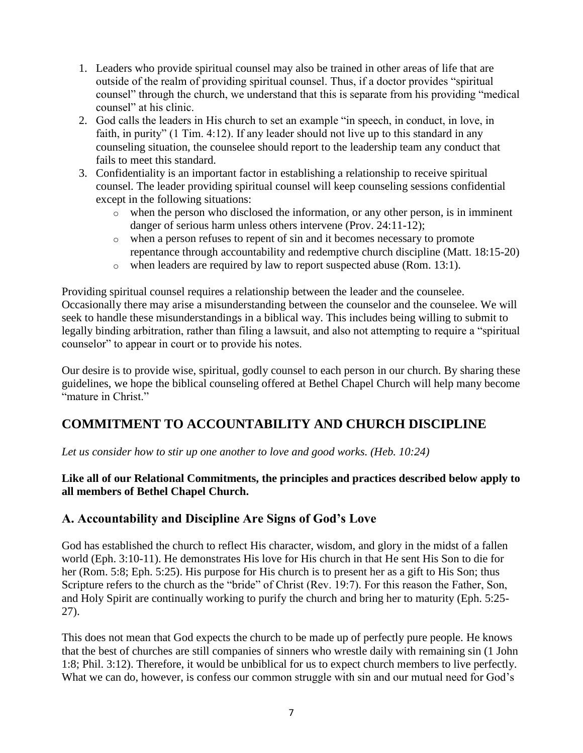- 1. Leaders who provide spiritual counsel may also be trained in other areas of life that are outside of the realm of providing spiritual counsel. Thus, if a doctor provides "spiritual counsel" through the church, we understand that this is separate from his providing "medical counsel" at his clinic.
- 2. God calls the leaders in His church to set an example "in speech, in conduct, in love, in faith, in purity" (1 Tim. 4:12). If any leader should not live up to this standard in any counseling situation, the counselee should report to the leadership team any conduct that fails to meet this standard.
- 3. Confidentiality is an important factor in establishing a relationship to receive spiritual counsel. The leader providing spiritual counsel will keep counseling sessions confidential except in the following situations:
	- o when the person who disclosed the information, or any other person, is in imminent danger of serious harm unless others intervene (Prov. 24:11-12);
	- o when a person refuses to repent of sin and it becomes necessary to promote repentance through accountability and redemptive church discipline (Matt. 18:15-20)
	- o when leaders are required by law to report suspected abuse (Rom. 13:1).

Providing spiritual counsel requires a relationship between the leader and the counselee. Occasionally there may arise a misunderstanding between the counselor and the counselee. We will seek to handle these misunderstandings in a biblical way. This includes being willing to submit to legally binding arbitration, rather than filing a lawsuit, and also not attempting to require a "spiritual counselor" to appear in court or to provide his notes.

Our desire is to provide wise, spiritual, godly counsel to each person in our church. By sharing these guidelines, we hope the biblical counseling offered at Bethel Chapel Church will help many become "mature in Christ."

# **COMMITMENT TO ACCOUNTABILITY AND CHURCH DISCIPLINE**

*Let us consider how to stir up one another to love and good works. (Heb. 10:24)*

#### **Like all of our Relational Commitments, the principles and practices described below apply to all members of Bethel Chapel Church.**

#### **A. Accountability and Discipline Are Signs of God's Love**

God has established the church to reflect His character, wisdom, and glory in the midst of a fallen world (Eph. 3:10-11). He demonstrates His love for His church in that He sent His Son to die for her (Rom. 5:8; Eph. 5:25). His purpose for His church is to present her as a gift to His Son; thus Scripture refers to the church as the "bride" of Christ (Rev. 19:7). For this reason the Father, Son, and Holy Spirit are continually working to purify the church and bring her to maturity (Eph. 5:25- 27).

This does not mean that God expects the church to be made up of perfectly pure people. He knows that the best of churches are still companies of sinners who wrestle daily with remaining sin (1 John 1:8; Phil. 3:12). Therefore, it would be unbiblical for us to expect church members to live perfectly. What we can do, however, is confess our common struggle with sin and our mutual need for God's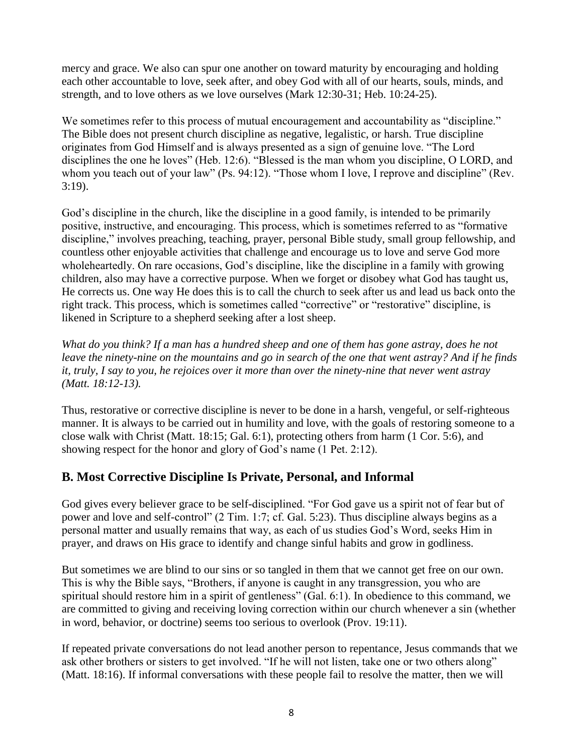mercy and grace. We also can spur one another on toward maturity by encouraging and holding each other accountable to love, seek after, and obey God with all of our hearts, souls, minds, and strength, and to love others as we love ourselves (Mark 12:30-31; Heb. 10:24-25).

We sometimes refer to this process of mutual encouragement and accountability as "discipline." The Bible does not present church discipline as negative, legalistic, or harsh. True discipline originates from God Himself and is always presented as a sign of genuine love. "The Lord disciplines the one he loves" (Heb. 12:6). "Blessed is the man whom you discipline, O LORD, and whom you teach out of your law" (Ps. 94:12). "Those whom I love, I reprove and discipline" (Rev. 3:19).

God's discipline in the church, like the discipline in a good family, is intended to be primarily positive, instructive, and encouraging. This process, which is sometimes referred to as "formative discipline," involves preaching, teaching, prayer, personal Bible study, small group fellowship, and countless other enjoyable activities that challenge and encourage us to love and serve God more wholeheartedly. On rare occasions, God's discipline, like the discipline in a family with growing children, also may have a corrective purpose. When we forget or disobey what God has taught us, He corrects us. One way He does this is to call the church to seek after us and lead us back onto the right track. This process, which is sometimes called "corrective" or "restorative" discipline, is likened in Scripture to a shepherd seeking after a lost sheep.

*What do you think? If a man has a hundred sheep and one of them has gone astray, does he not leave the ninety-nine on the mountains and go in search of the one that went astray? And if he finds it, truly, I say to you, he rejoices over it more than over the ninety-nine that never went astray (Matt. 18:12-13).*

Thus, restorative or corrective discipline is never to be done in a harsh, vengeful, or self-righteous manner. It is always to be carried out in humility and love, with the goals of restoring someone to a close walk with Christ (Matt. 18:15; Gal. 6:1), protecting others from harm (1 Cor. 5:6), and showing respect for the honor and glory of God's name (1 Pet. 2:12).

#### **B. Most Corrective Discipline Is Private, Personal, and Informal**

God gives every believer grace to be self-disciplined. "For God gave us a spirit not of fear but of power and love and self-control" (2 Tim. 1:7; cf. Gal. 5:23). Thus discipline always begins as a personal matter and usually remains that way, as each of us studies God's Word, seeks Him in prayer, and draws on His grace to identify and change sinful habits and grow in godliness.

But sometimes we are blind to our sins or so tangled in them that we cannot get free on our own. This is why the Bible says, "Brothers, if anyone is caught in any transgression, you who are spiritual should restore him in a spirit of gentleness" (Gal. 6:1). In obedience to this command, we are committed to giving and receiving loving correction within our church whenever a sin (whether in word, behavior, or doctrine) seems too serious to overlook (Prov. 19:11).

If repeated private conversations do not lead another person to repentance, Jesus commands that we ask other brothers or sisters to get involved. "If he will not listen, take one or two others along" (Matt. 18:16). If informal conversations with these people fail to resolve the matter, then we will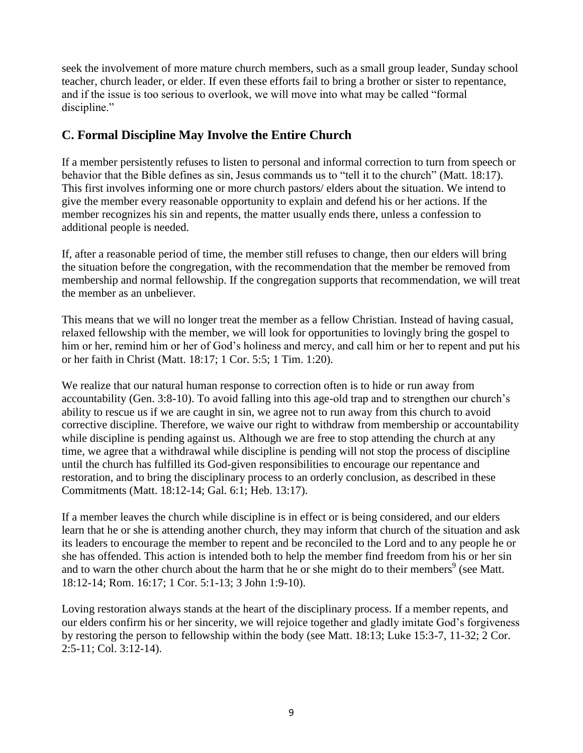seek the involvement of more mature church members, such as a small group leader, Sunday school teacher, church leader, or elder. If even these efforts fail to bring a brother or sister to repentance, and if the issue is too serious to overlook, we will move into what may be called "formal discipline."

#### **C. Formal Discipline May Involve the Entire Church**

If a member persistently refuses to listen to personal and informal correction to turn from speech or behavior that the Bible defines as sin, Jesus commands us to "tell it to the church" (Matt. 18:17). This first involves informing one or more church pastors/ elders about the situation. We intend to give the member every reasonable opportunity to explain and defend his or her actions. If the member recognizes his sin and repents, the matter usually ends there, unless a confession to additional people is needed.

If, after a reasonable period of time, the member still refuses to change, then our elders will bring the situation before the congregation, with the recommendation that the member be removed from membership and normal fellowship. If the congregation supports that recommendation, we will treat the member as an unbeliever.

This means that we will no longer treat the member as a fellow Christian. Instead of having casual, relaxed fellowship with the member, we will look for opportunities to lovingly bring the gospel to him or her, remind him or her of God's holiness and mercy, and call him or her to repent and put his or her faith in Christ (Matt. 18:17; 1 Cor. 5:5; 1 Tim. 1:20).

We realize that our natural human response to correction often is to hide or run away from accountability (Gen. 3:8-10). To avoid falling into this age-old trap and to strengthen our church's ability to rescue us if we are caught in sin, we agree not to run away from this church to avoid corrective discipline. Therefore, we waive our right to withdraw from membership or accountability while discipline is pending against us. Although we are free to stop attending the church at any time, we agree that a withdrawal while discipline is pending will not stop the process of discipline until the church has fulfilled its God-given responsibilities to encourage our repentance and restoration, and to bring the disciplinary process to an orderly conclusion, as described in these Commitments (Matt. 18:12-14; Gal. 6:1; Heb. 13:17).

If a member leaves the church while discipline is in effect or is being considered, and our elders learn that he or she is attending another church, they may inform that church of the situation and ask its leaders to encourage the member to repent and be reconciled to the Lord and to any people he or she has offended. This action is intended both to help the member find freedom from his or her sin and to warn the other church about the harm that he or she might do to their members<sup>9</sup> (see Matt. 18:12-14; Rom. 16:17; 1 Cor. 5:1-13; 3 John 1:9-10).

Loving restoration always stands at the heart of the disciplinary process. If a member repents, and our elders confirm his or her sincerity, we will rejoice together and gladly imitate God's forgiveness by restoring the person to fellowship within the body (see Matt. 18:13; Luke 15:3-7, 11-32; 2 Cor. 2:5-11; Col. 3:12-14).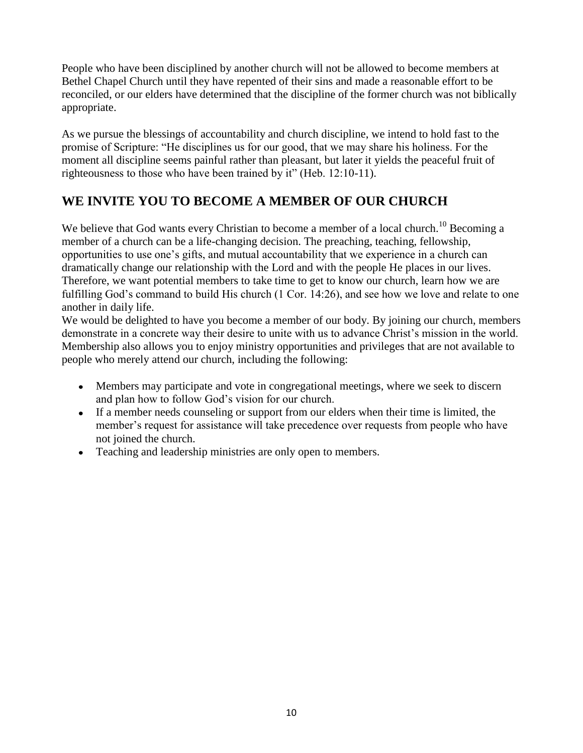People who have been disciplined by another church will not be allowed to become members at Bethel Chapel Church until they have repented of their sins and made a reasonable effort to be reconciled, or our elders have determined that the discipline of the former church was not biblically appropriate.

As we pursue the blessings of accountability and church discipline, we intend to hold fast to the promise of Scripture: "He disciplines us for our good, that we may share his holiness. For the moment all discipline seems painful rather than pleasant, but later it yields the peaceful fruit of righteousness to those who have been trained by it" (Heb. 12:10-11).

# **WE INVITE YOU TO BECOME A MEMBER OF OUR CHURCH**

We believe that God wants every Christian to become a member of a local church.<sup>10</sup> Becoming a member of a church can be a life-changing decision. The preaching, teaching, fellowship, opportunities to use one's gifts, and mutual accountability that we experience in a church can dramatically change our relationship with the Lord and with the people He places in our lives. Therefore, we want potential members to take time to get to know our church, learn how we are fulfilling God's command to build His church (1 Cor. 14:26), and see how we love and relate to one another in daily life.

We would be delighted to have you become a member of our body. By joining our church, members demonstrate in a concrete way their desire to unite with us to advance Christ's mission in the world. Membership also allows you to enjoy ministry opportunities and privileges that are not available to people who merely attend our church, including the following:

- Members may participate and vote in congregational meetings, where we seek to discern and plan how to follow God's vision for our church.
- If a member needs counseling or support from our elders when their time is limited, the  $\bullet$ member's request for assistance will take precedence over requests from people who have not joined the church.
- Teaching and leadership ministries are only open to members.